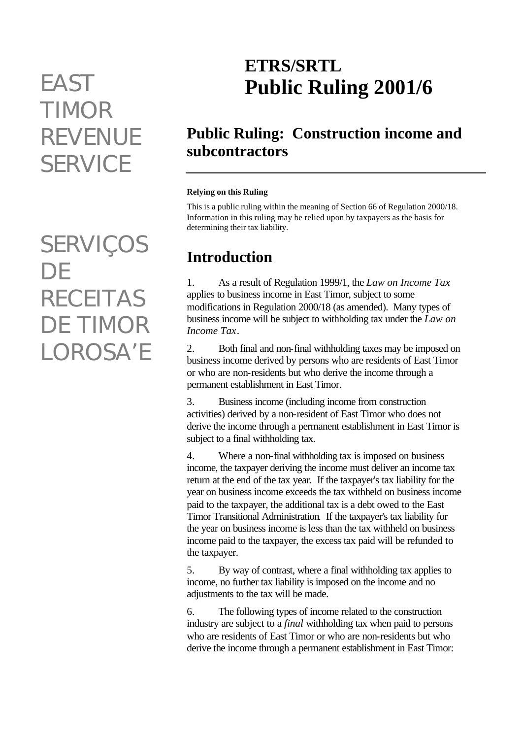# *TIMOR REVENUE SERVICE*

*SERVIÇOS DE RECEITAS DE TIMOR LOROSA'E*

## **ETRS/SRTL** *EAST* **Public Ruling 2001/6**

## **Public Ruling: Construction income and subcontractors**

#### **Relying on this Ruling**

This is a public ruling within the meaning of Section 66 of Regulation 2000/18. Information in this ruling may be relied upon by taxpayers as the basis for determining their tax liability.

## **Introduction**

1. As a result of Regulation 1999/1, the *Law on Income Tax* applies to business income in East Timor, subject to some modifications in Regulation 2000/18 (as amended). Many types of business income will be subject to withholding tax under the *Law on Income Tax*.

2. Both final and non-final withholding taxes may be imposed on business income derived by persons who are residents of East Timor or who are non-residents but who derive the income through a permanent establishment in East Timor.

3. Business income (including income from construction activities) derived by a non-resident of East Timor who does not derive the income through a permanent establishment in East Timor is subject to a final withholding tax.

4. Where a non-final withholding tax is imposed on business income, the taxpayer deriving the income must deliver an income tax return at the end of the tax year. If the taxpayer's tax liability for the year on business income exceeds the tax withheld on business income paid to the taxpayer, the additional tax is a debt owed to the East Timor Transitional Administration. If the taxpayer's tax liability for the year on business income is less than the tax withheld on business income paid to the taxpayer, the excess tax paid will be refunded to the taxpayer.

5. By way of contrast, where a final withholding tax applies to income, no further tax liability is imposed on the income and no adjustments to the tax will be made.

6. The following types of income related to the construction industry are subject to a *final* withholding tax when paid to persons who are residents of East Timor or who are non-residents but who derive the income through a permanent establishment in East Timor: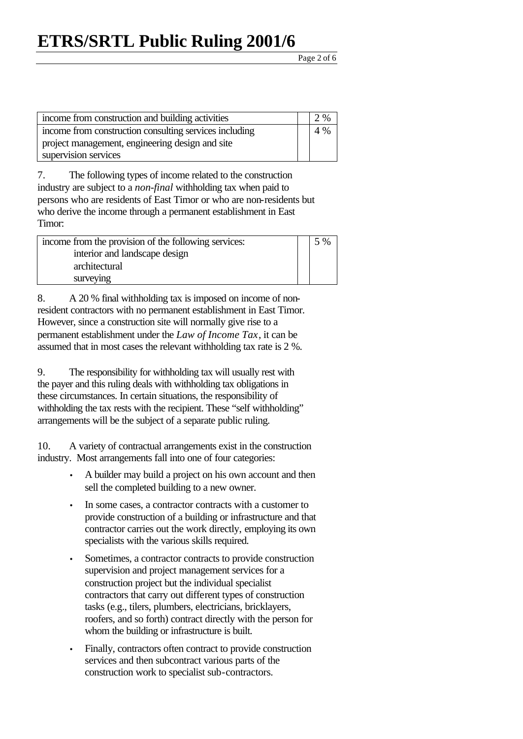Page 2 of 6

| income from construction and building activities       | 2 % |
|--------------------------------------------------------|-----|
| income from construction consulting services including | 4 % |
| project management, engineering design and site        |     |
| supervision services                                   |     |

7. The following types of income related to the construction industry are subject to a *non-final* withholding tax when paid to persons who are residents of East Timor or who are non-residents but who derive the income through a permanent establishment in East Timor:

| income from the provision of the following services: | 5 % |
|------------------------------------------------------|-----|
| interior and landscape design                        |     |
| architectural                                        |     |
| surveying                                            |     |

8. A 20 % final withholding tax is imposed on income of nonresident contractors with no permanent establishment in East Timor. However, since a construction site will normally give rise to a permanent establishment under the *Law of Income Tax*, it can be assumed that in most cases the relevant withholding tax rate is 2 %.

9. The responsibility for withholding tax will usually rest with the payer and this ruling deals with withholding tax obligations in these circumstances. In certain situations, the responsibility of withholding the tax rests with the recipient. These "self withholding" arrangements will be the subject of a separate public ruling.

10. A variety of contractual arrangements exist in the construction industry. Most arrangements fall into one of four categories:

- A builder may build a project on his own account and then sell the completed building to a new owner.
- In some cases, a contractor contracts with a customer to provide construction of a building or infrastructure and that contractor carries out the work directly, employing its own specialists with the various skills required.
- Sometimes, a contractor contracts to provide construction supervision and project management services for a construction project but the individual specialist contractors that carry out different types of construction tasks (e.g., tilers, plumbers, electricians, bricklayers, roofers, and so forth) contract directly with the person for whom the building or infrastructure is built.
- Finally, contractors often contract to provide construction services and then subcontract various parts of the construction work to specialist sub-contractors.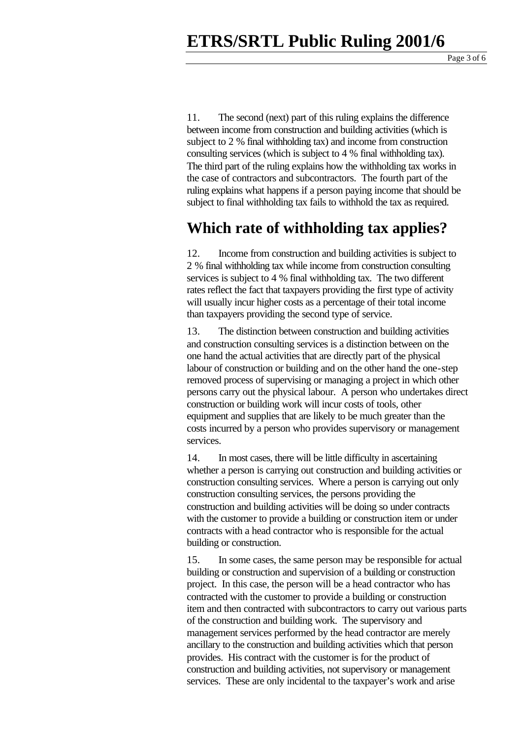11. The second (next) part of this ruling explains the difference between income from construction and building activities (which is subject to 2 % final withholding tax) and income from construction consulting services (which is subject to 4 % final withholding tax). The third part of the ruling explains how the withholding tax works in the case of contractors and subcontractors. The fourth part of the ruling explains what happens if a person paying income that should be subject to final withholding tax fails to withhold the tax as required.

#### **Which rate of withholding tax applies?**

12. Income from construction and building activities is subject to 2 % final withholding tax while income from construction consulting services is subject to 4 % final withholding tax. The two different rates reflect the fact that taxpayers providing the first type of activity will usually incur higher costs as a percentage of their total income than taxpayers providing the second type of service.

13. The distinction between construction and building activities and construction consulting services is a distinction between on the one hand the actual activities that are directly part of the physical labour of construction or building and on the other hand the one-step removed process of supervising or managing a project in which other persons carry out the physical labour. A person who undertakes direct construction or building work will incur costs of tools, other equipment and supplies that are likely to be much greater than the costs incurred by a person who provides supervisory or management services.

14. In most cases, there will be little difficulty in ascertaining whether a person is carrying out construction and building activities or construction consulting services. Where a person is carrying out only construction consulting services, the persons providing the construction and building activities will be doing so under contracts with the customer to provide a building or construction item or under contracts with a head contractor who is responsible for the actual building or construction.

15. In some cases, the same person may be responsible for actual building or construction and supervision of a building or construction project. In this case, the person will be a head contractor who has contracted with the customer to provide a building or construction item and then contracted with subcontractors to carry out various parts of the construction and building work. The supervisory and management services performed by the head contractor are merely ancillary to the construction and building activities which that person provides. His contract with the customer is for the product of construction and building activities, not supervisory or management services. These are only incidental to the taxpayer's work and arise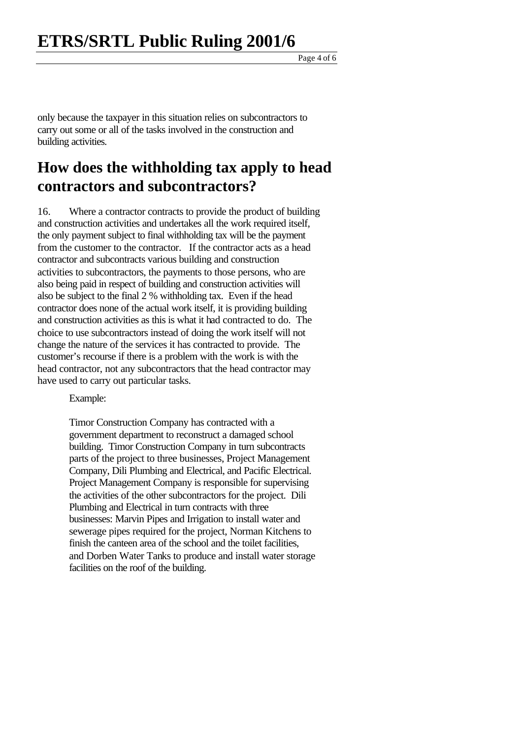Page 4 of 6

only because the taxpayer in this situation relies on subcontractors to carry out some or all of the tasks involved in the construction and building activities.

#### **How does the withholding tax apply to head contractors and subcontractors?**

16. Where a contractor contracts to provide the product of building and construction activities and undertakes all the work required itself, the only payment subject to final withholding tax will be the payment from the customer to the contractor. If the contractor acts as a head contractor and subcontracts various building and construction activities to subcontractors, the payments to those persons, who are also being paid in respect of building and construction activities will also be subject to the final 2 % withholding tax. Even if the head contractor does none of the actual work itself, it is providing building and construction activities as this is what it had contracted to do. The choice to use subcontractors instead of doing the work itself will not change the nature of the services it has contracted to provide. The customer's recourse if there is a problem with the work is with the head contractor, not any subcontractors that the head contractor may have used to carry out particular tasks.

Example:

Timor Construction Company has contracted with a government department to reconstruct a damaged school building. Timor Construction Company in turn subcontracts parts of the project to three businesses, Project Management Company, Dili Plumbing and Electrical, and Pacific Electrical. Project Management Company is responsible for supervising the activities of the other subcontractors for the project. Dili Plumbing and Electrical in turn contracts with three businesses: Marvin Pipes and Irrigation to install water and sewerage pipes required for the project, Norman Kitchens to finish the canteen area of the school and the toilet facilities, and Dorben Water Tanks to produce and install water storage facilities on the roof of the building.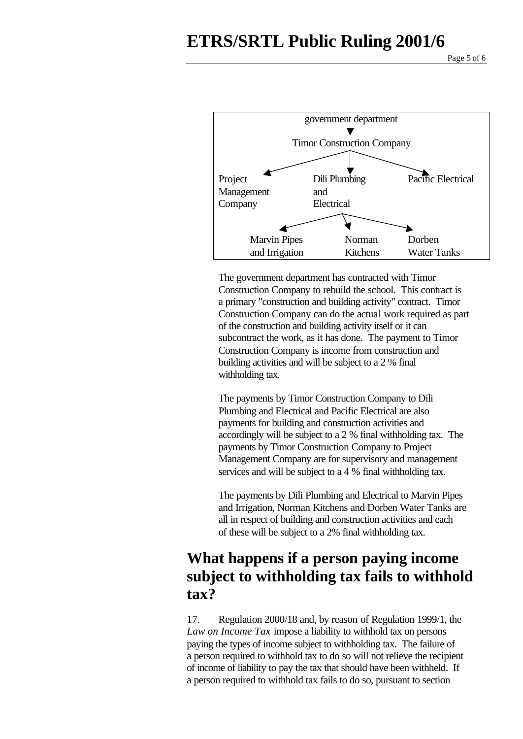#### **ETRS/SRTL Public Ruling 2001/6**

Page 5 of 6



The government department has contracted with Timor Construction Company to rebuild the school. This contract is a primary "construction and building activity" contract. Timor Construction Company can do the actual work required as part of the construction and building activity itself or it can subcontract the work, as it has done. The payment to Timor Construction Company is income from construction and building activities and will be subject to a 2 % final withholding tax.

The payments by Timor Construction Company to Dili Plumbing and Electrical and Pacific Electrical are also payments for building and construction activities and accordingly will be subject to a 2 % final withholding tax. The payments by Timor Construction Company to Project Management Company are for supervisory and management services and will be subject to a 4 % final withholding tax.

The payments by Dili Plumbing and Electrical to Marvin Pipes and Irrigation, Norman Kitchens and Dorben Water Tanks are all in respect of building and construction activities and each of these will be subject to a 2% final withholding tax.

#### **What happens if a person paying income subject to withholding tax fails to withhold tax?**

17. Regulation 2000/18 and, by reason of Regulation 1999/1, the *Law on Income Tax* impose a liability to withhold tax on persons paying the types of income subject to withholding tax. The failure of a person required to withhold tax to do so will not relieve the recipient of income of liability to pay the tax that should have been withheld. If a person required to withhold tax fails to do so, pursuant to section